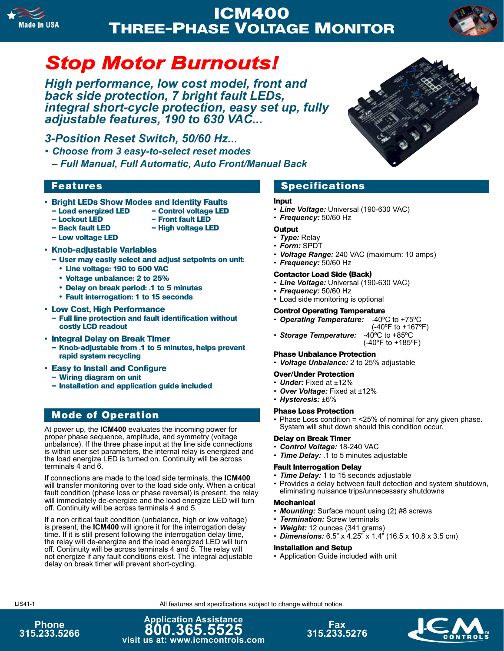

# **ICM400 THREE-PHASE VOLTAGE MONITOR**



# *Stop Motor Burnouts!*

*High performance, low cost model, front and back side protection, 7 bright fault LEDs, integral short-cycle protection, easy set up, fully adjustable features, 190 to 630 VAC...*

### *3-Position Reset Switch, 50/60 Hz...*

*• Choose from 3 easy-to-select reset modes – Full Manual, Full Automatic, Auto Front/Manual Back*

### Features

- **Bright LEDs Show Modes and Identity Faults**
- **– Load energized LED – Control voltage LED**
- 
- **– Lockout LED – Front fault LED**
- **– Low voltage LED**
- **– Back fault LED – High voltage LED**
- 
- **• Knob-adjustable Variables – User may easily select and adjust setpoints on unit:**
	- **• Line voltage: 190 to 600 VAC**
	- **• Voltage unbalance: 2 to 25%**
	-
	- **• Delay on break period: .1 to 5 minutes • Fault interrogation: 1 to 15 seconds**
- **• Low Cost, High Performance**
	- **– Full line protection and fault identification without costly LCD readout**
- **• Integral Delay on Break Timer – Knob-adjustable from .1 to 5 minutes, helps prevent rapid system recycling**
- **• Easy to Install and Configure – Wiring diagram on unit**
	- $-$  **Installation** and application guide included

### Mode of Operation

At power up, the **ICM400** evaluates the incoming power for proper phase sequence, amplitude, and symmetry (voltage unbalance). If the three phase input at the line side connections is within user set parameters, the internal relay is energized and the load energize LED is turned on. Continuity will be across terminals 4 and 6.

If connections are made to the load side terminals, the **ICM400** will transfer monitoring over to the load side only. When a critical fault condition (phase loss or phase reversal) is present, the relay will immediately de-energize and the load energize LED will turn off. Continuity will be across terminals 4 and 5.

If a non critical fault condition (unbalance, high or low voltage) is present, the **ICM400** will ignore it for the interrogation delay time. If it is still present following the interrogation delay time, the relay will de-energize and the load energized LED will turn off. Continuity will be across terminals 4 and 5. The relay will not energize if any fault conditions exist. The integral adjustable delay on break timer will prevent short-cycling.

### **Specifications**

#### **Input**

- *Line Voltage:* Universal (190-630 VAC)
- *Frequency:* 50/60 Hz

#### **Output**

- *Type:* Relay
- *Form:* SPDT
- *Voltage Range:* 240 VAC (maximum: 10 amps)

## • *Frequency:* 50/60 Hz

- **Contactor Load Side (Back)** • *Line Voltage:* Universal (190-630 VAC)
- *Frequency:* 50/60 Hz
- Load side monitoring is optional

#### **Control Operating Temperature**

- *Operating Temperature:* -40ºC to +75ºC
	- (-40ºF to +167ºF)
- *Storage Temperature:* -40ºC to +85ºC (-40ºF to +185ºF)

#### **Phase Unbalance Protection**

• *Voltage Unbalance:* 2 to 25% adjustable

#### **Over/Under Protection**

- *Under:* Fixed at ±12%
- *Over Voltage:* Fixed at ±12%
- *Hysteresis:* ±6%

#### **Phase Loss Protection**

• Phase Loss condition = <25% of nominal for any given phase. System will shut down should this condition occur.

#### **Delay on Break Timer**

- *Control Voltage:* 18-240 VAC
- *Time Delay:* .1 to 5 minutes adjustable

#### **Fault Interrogation Delay**

- *Time Delay:* 1 to 15 seconds adjustable
- Provides a delay between fault detection and system shutdown, eliminating nuisance trips/unnecessary shutdowns

#### **Mechanical**

- *Mounting:* Surface mount using (2) #8 screws
- *Termination:* Screw terminals
- *Weight:* 12 ounces (341 grams)
- *Dimensions:* 6.5" x 4.25" x 1.4" (16.5 x 10.8 x 3.5 cm)

#### **Installation and Setup**

• Application Guide included with unit

LIS41-1

**Phone 315.233.5266** All features and specifications subject to change without notice.

**Application Assistance 800.365.5525 visit us at: www.icmcontrols.com**

**Fax 315.233.5276**